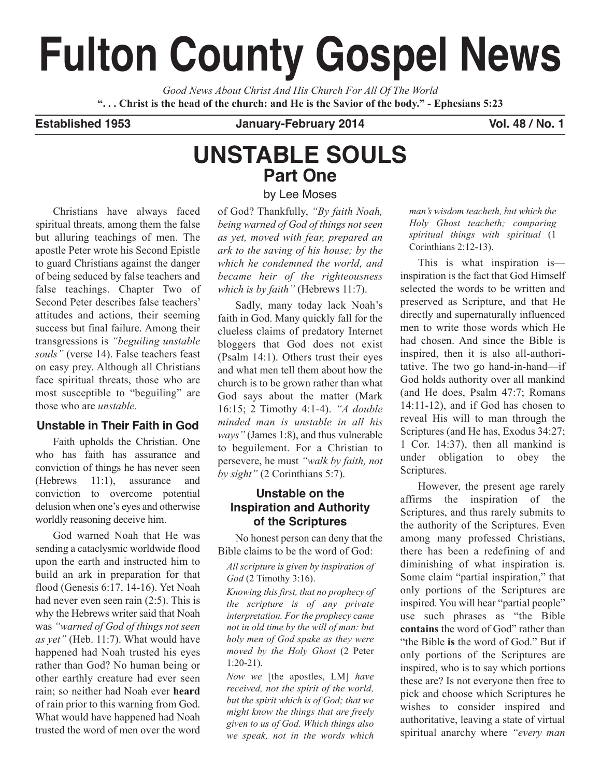# **Fulton County Gospel News**

*Good News About Christ And His Church For All Of The World* "... Christ is the head of the church: and He is the Savior of the body." - Ephesians 5:23

**Established 1953 January-February 2014 Vol. 48 / No. 1**

# **UNSTABLE SOULS Part One** by Lee Moses

Christians have always faced spiritual threats, among them the false but alluring teachings of men. The apostle Peter wrote his Second Epistle to guard Christians against the danger of being seduced by false teachers and false teachings. Chapter Two of Second Peter describes false teachers' attitudes and actions, their seeming success but final failure. Among their transgressions is *"beguiling unstable souls"* (verse 14). False teachers feast on easy prey. Although all Christians face spiritual threats, those who are most susceptible to "beguiling" are those who are *unstable.*

## **Unstable in Their Faith in God**

Faith upholds the Christian. One who has faith has assurance and conviction of things he has never seen (Hebrews 11:1), assurance and conviction to overcome potential delusion when one's eyes and otherwise worldly reasoning deceive him.

God warned Noah that He was sending a cataclysmic worldwide flood upon the earth and instructed him to build an ark in preparation for that flood (Genesis 6:17, 14-16). Yet Noah had never even seen rain (2:5). This is why the Hebrews writer said that Noah was *"warned of God of things not seen as yet"* (Heb. 11:7). What would have happened had Noah trusted his eyes rather than God? No human being or other earthly creature had ever seen rain; so neither had Noah ever **heard** of rain prior to this warning from God. What would have happened had Noah trusted the word of men over the word

of God? Thankfully, *"By faith Noah, being warned of God of things not seen*

*as yet, moved with fear, prepared an ark to the saving of his house; by the which he condemned the world, and became heir of the righteousness which is by faith"* (Hebrews 11:7).

Sadly, many today lack Noah's faith in God. Many quickly fall for the clueless claims of predatory Internet bloggers that God does not exist (Psalm 14:1). Others trust their eyes and what men tell them about how the church is to be grown rather than what God says about the matter (Mark 16:15; 2 Timothy 4:1-4). *"A double minded man is unstable in all his ways"* (James 1:8), and thus vulnerable to beguilement. For a Christian to persevere, he must *"walk by faith, not by sight"* (2 Corinthians 5:7).

## **Unstable on the Inspiration and Authority of the Scriptures**

No honest person can deny that the Bible claims to be the word of God:

*All scripture is given by inspiration of God* (2 Timothy 3:16).

*Knowing this first, that no prophecy of the scripture is of any private interpretation. For the prophecy came not in old time by the will of man: but holy men of God spake as they were moved by the Holy Ghost* (2 Peter 1:20-21).

*Now we* [the apostles, LM] *have received, not the spirit of the world, but the spirit which is of God; that we might know the things that are freely given to us of God. Which things also we speak, not in the words which*

*man's wisdom teacheth, but which the Holy Ghost teacheth; comparing spiritual things with spiritual* (1 Corinthians 2:12-13).

This is what inspiration is inspiration is the fact that God Himself selected the words to be written and preserved as Scripture, and that He directly and supernaturally influenced men to write those words which He had chosen. And since the Bible is inspired, then it is also all-authoritative. The two go hand-in-hand—if God holds authority over all mankind (and He does, Psalm 47:7; Romans 14:11-12), and if God has chosen to reveal His will to man through the Scriptures (and He has, Exodus 34:27; 1 Cor. 14:37), then all mankind is under obligation to obey the Scriptures.

However, the present age rarely affirms the inspiration of the Scriptures, and thus rarely submits to the authority of the Scriptures. Even among many professed Christians, there has been a redefining of and diminishing of what inspiration is. Some claim "partial inspiration," that only portions of the Scriptures are inspired. You will hear "partial people" use such phrases as "the Bible **contains** the word of God" rather than "the Bible **is** the word of God." But if only portions of the Scriptures are inspired, who is to say which portions these are? Is not everyone then free to pick and choose which Scriptures he wishes to consider inspired and authoritative, leaving a state of virtual spiritual anarchy where *"every man*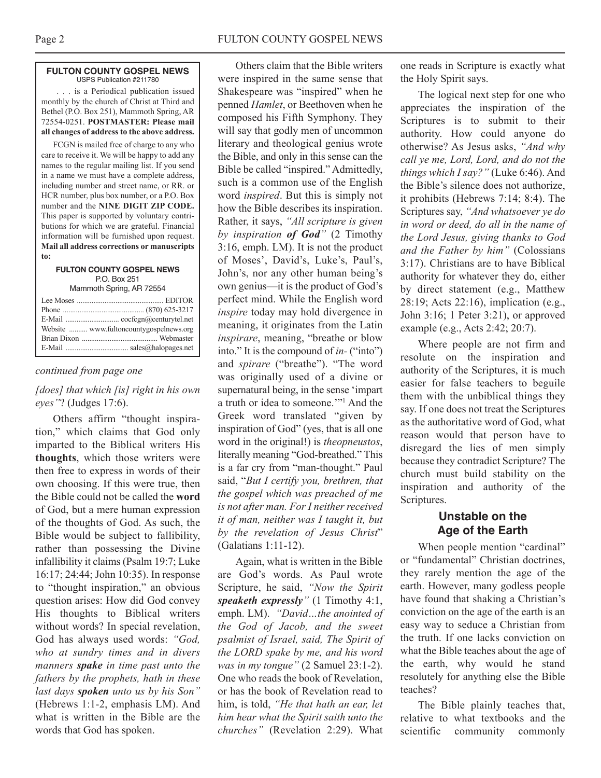#### **FULTON COUNTY GOSPEL NEWS** USPS Publication #211780

. . . is a Periodical publication issued monthly by the church of Christ at Third and Bethel (P.O. Box 251), Mammoth Spring, AR 72554-0251. **POSTMASTER: Please mail all changes of address to the above address.**

FCGN is mailed free of charge to any who care to receive it. We will be happy to add any names to the regular mailing list. If you send in a name we must have a complete address, including number and street name, or RR. or HCR number, plus box number, or a P.O. Box number and the **NINE DIGIT ZIP CODE.** This paper is supported by voluntary contributions for which we are grateful. Financial information will be furnished upon request. **Mail all address corrections or manuscripts to:**

**FULTON COUNTY GOSPEL NEWS** P.O. Box 251 Mammoth Spring, AR 72554

| Website  www.fultoncountygospelnews.org |
|-----------------------------------------|
|                                         |
|                                         |
|                                         |

### *continued from page one*

## *[does] that which [is] right in his own eyes"*? (Judges 17:6).

Others affirm "thought inspiration," which claims that God only imparted to the Biblical writers His **thoughts**, which those writers were then free to express in words of their own choosing. If this were true, then the Bible could not be called the **word** of God, but a mere human expression of the thoughts of God. As such, the Bible would be subject to fallibility, rather than possessing the Divine infallibility it claims (Psalm 19:7; Luke 16:17; 24:44; John 10:35). In response to "thought inspiration," an obvious question arises: How did God convey His thoughts to Biblical writers without words? In special revelation, God has always used words: *"God, who at sundry times and in divers manners spake in time past unto the fathers by the prophets, hath in these last days spoken unto us by his Son"* (Hebrews 1:1-2, emphasis LM). And what is written in the Bible are the words that God has spoken.

Others claim that the Bible writers were inspired in the same sense that Shakespeare was "inspired" when he penned *Hamlet*, or Beethoven when he composed his Fifth Symphony. They will say that godly men of uncommon literary and theological genius wrote the Bible, and only in this sense can the Bible be called "inspired." Admittedly, such is a common use of the English word *inspired*. But this is simply not how the Bible describes its inspiration. Rather, it says, *"All scripture is given by inspiration of God"* (2 Timothy 3:16, emph. LM). It is not the product of Moses', David's, Luke's, Paul's, John's, nor any other human being's own genius—it is the product of God's perfect mind. While the English word *inspire* today may hold divergence in meaning, it originates from the Latin *inspirare*, meaning, "breathe or blow into." It is the compound of *in-* ("into") and *spirare* ("breathe"). "The word was originally used of a divine or supernatural being, in the sense 'impart a truth or idea to someone.'"1 And the Greek word translated "given by inspiration of God" (yes, that is all one word in the original!) is *theopneustos*, literally meaning "God-breathed." This is a far cry from "man-thought." Paul said, "*But I certify you, brethren, that the gospel which was preached of me is not after man. For I neither received it of man, neither was I taught it, but by the revelation of Jesus Christ*" (Galatians 1:11-12).

Again, what is written in the Bible are God's words. As Paul wrote Scripture, he said, *"Now the Spirit speaketh expressly"* (1 Timothy 4:1, emph. LM). *"David…the anointed of the God of Jacob, and the sweet psalmist of Israel, said, The Spirit of the LORD spake by me, and his word was in my tongue"* (2 Samuel 23:1-2). One who reads the book of Revelation, or has the book of Revelation read to him, is told, *"He that hath an ear, let him hear what the Spirit saith unto the churches"* (Revelation 2:29). What

one reads in Scripture is exactly what the Holy Spirit says.

The logical next step for one who appreciates the inspiration of the Scriptures is to submit to their authority. How could anyone do otherwise? As Jesus asks, *"And why call ye me, Lord, Lord, and do not the things which I say?"* (Luke 6:46). And the Bible's silence does not authorize, it prohibits (Hebrews 7:14; 8:4). The Scriptures say, *"And whatsoever ye do in word or deed, do all in the name of the Lord Jesus, giving thanks to God and the Father by him"* (Colossians 3:17). Christians are to have Biblical authority for whatever they do, either by direct statement (e.g., Matthew 28:19; Acts 22:16), implication (e.g., John 3:16; 1 Peter 3:21), or approved example (e.g., Acts 2:42; 20:7).

Where people are not firm and resolute on the inspiration and authority of the Scriptures, it is much easier for false teachers to beguile them with the unbiblical things they say. If one does not treat the Scriptures as the authoritative word of God, what reason would that person have to disregard the lies of men simply because they contradict Scripture? The church must build stability on the inspiration and authority of the Scriptures.

## **Unstable on the Age of the Earth**

When people mention "cardinal" or "fundamental" Christian doctrines, they rarely mention the age of the earth. However, many godless people have found that shaking a Christian's conviction on the age of the earth is an easy way to seduce a Christian from the truth. If one lacks conviction on what the Bible teaches about the age of the earth, why would he stand resolutely for anything else the Bible teaches?

The Bible plainly teaches that, relative to what textbooks and the scientific community commonly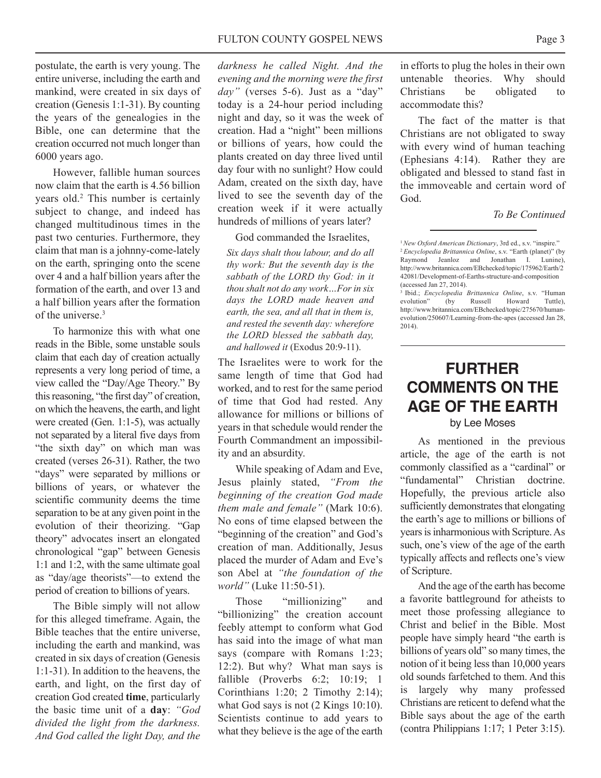postulate, the earth is very young. The entire universe, including the earth and mankind, were created in six days of creation (Genesis 1:1-31). By counting the years of the genealogies in the Bible, one can determine that the creation occurred not much longer than 6000 years ago.

However, fallible human sources now claim that the earth is 4.56 billion years old. <sup>2</sup> This number is certainly subject to change, and indeed has changed multitudinous times in the past two centuries. Furthermore, they claim that man is a johnny-come-lately on the earth, springing onto the scene over 4 and a half billion years after the formation of the earth, and over 13 and a half billion years after the formation of the universe. 3

To harmonize this with what one reads in the Bible, some unstable souls claim that each day of creation actually represents a very long period of time, a view called the "Day/Age Theory." By this reasoning, "the first day" of creation, on which the heavens, the earth, and light were created (Gen. 1:1-5), was actually not separated by a literal five days from "the sixth day" on which man was created (verses 26-31). Rather, the two "days" were separated by millions or billions of years, or whatever the scientific community deems the time separation to be at any given point in the evolution of their theorizing. "Gap theory" advocates insert an elongated chronological "gap" between Genesis 1:1 and 1:2, with the same ultimate goal as "day/age theorists"—to extend the period of creation to billions of years.

The Bible simply will not allow for this alleged timeframe. Again, the Bible teaches that the entire universe, including the earth and mankind, was created in six days of creation (Genesis 1:1-31). In addition to the heavens, the earth, and light, on the first day of creation God created **time**, particularly the basic time unit of a **day**: *"God divided the light from the darkness. And God called the light Day, and the*

*darkness he called Night. And the evening and the morning were the first day"* (verses 5-6). Just as a "day" today is a 24-hour period including night and day, so it was the week of creation. Had a "night" been millions or billions of years, how could the plants created on day three lived until day four with no sunlight? How could Adam, created on the sixth day, have lived to see the seventh day of the creation week if it were actually hundreds of millions of years later?

God commanded the Israelites,

*Six days shalt thou labour, and do all thy work: But the seventh day is the sabbath of the LORD thy God: in it thou shalt not do any work…For in six days the LORD made heaven and earth, the sea, and all that in them is, and rested the seventh day: wherefore the LORD blessed the sabbath day, and hallowed it* (Exodus 20:9-11).

The Israelites were to work for the same length of time that God had worked, and to rest for the same period of time that God had rested. Any allowance for millions or billions of years in that schedule would render the Fourth Commandment an impossibility and an absurdity.

While speaking of Adam and Eve, Jesus plainly stated, *"From the beginning of the creation God made them male and female"* (Mark 10:6). No eons of time elapsed between the "beginning of the creation" and God's creation of man. Additionally, Jesus placed the murder of Adam and Eve's son Abel at *"the foundation of the world"* (Luke 11:50-51).

Those "millionizing" and "billionizing" the creation account feebly attempt to conform what God has said into the image of what man says (compare with Romans 1:23; 12:2). But why? What man says is fallible (Proverbs 6:2; 10:19; 1 Corinthians 1:20; 2 Timothy 2:14); what God says is not  $(2$  Kings 10:10). Scientists continue to add years to what they believe is the age of the earth in efforts to plug the holes in their own untenable theories. Why should Christians be obligated to accommodate this?

The fact of the matter is that Christians are not obligated to sway with every wind of human teaching (Ephesians 4:14). Rather they are obligated and blessed to stand fast in the immoveable and certain word of God.

*To Be Continued*

<sup>3</sup> Ibid.; *Encyclopedia Brittannica Online*, s.v. "Human evolution" (by Russell Howard Tuttle), by Russell Howard http://www.britannica.com/EBchecked/topic/275670/humanevolution/250607/Learning-from-the-apes (accessed Jan 28, 2014).

## **FURTHER COMMENTS ON THE AGE OF THE EARTH** by Lee Moses

As mentioned in the previous article, the age of the earth is not commonly classified as a "cardinal" or "fundamental" Christian doctrine. Hopefully, the previous article also sufficiently demonstrates that elongating the earth's age to millions or billions of years is inharmonious with Scripture. As such, one's view of the age of the earth typically affects and reflects one's view of Scripture.

And the age of the earth has become a favorite battleground for atheists to meet those professing allegiance to Christ and belief in the Bible. Most people have simply heard "the earth is billions of years old" so many times, the notion of it being less than 10,000 years old sounds farfetched to them. And this is largely why many professed Christians are reticent to defend what the Bible says about the age of the earth (contra Philippians 1:17; 1 Peter 3:15).

<sup>1</sup>*New Oxford American Dictionary*, 3rd ed., s.v. "inspire." <sup>2</sup> *Encyclopedia Brittannica Online*, s.v. "Earth (planet)" (by Raymond Jeanloz and Jonathan I. Lunine), http://www.britannica.com/EBchecked/topic/175962/Earth/2 42081/Development-of-Earths-structure-and-composition (accessed Jan 27, 2014).